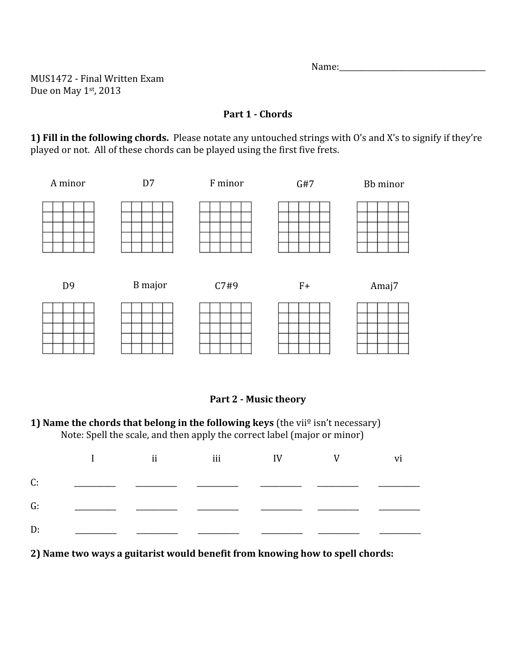Name:

MUS1472 ‐ Final Written Exam Due on May 1st, 2013

### **Part 1 Chords**

**1) Fill in the following chords.** Please notate any untouched strings with O's and X's to signify if they're played or not. All of these chords can be played using the first five frets.



### Part 2 - Music theory

**<sup>1)</sup> Name the chords that belong in the following keys** (the vii<sup>o</sup> isn't necessary) Note: Spell the scale, and then apply the correct label (major or minor)

|  | I ii iii IV V vi |  |  |
|--|------------------|--|--|
|  |                  |  |  |
|  |                  |  |  |
|  |                  |  |  |

**2) Name two ways a guitarist would benefit from knowing how to spell chords:**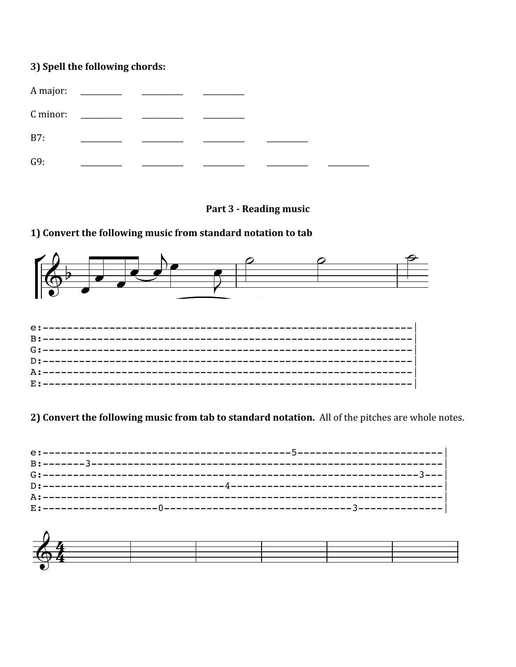# 3) Spell the following chords:

| A major:<br>C minor: |  |  |  |
|----------------------|--|--|--|
| B7:                  |  |  |  |
| G9:                  |  |  |  |

### Part 3 - Reading music

# 1) Convert the following music from standard notation to tab



### 2) Convert the following music from tab to standard notation. All of the pitches are whole notes.